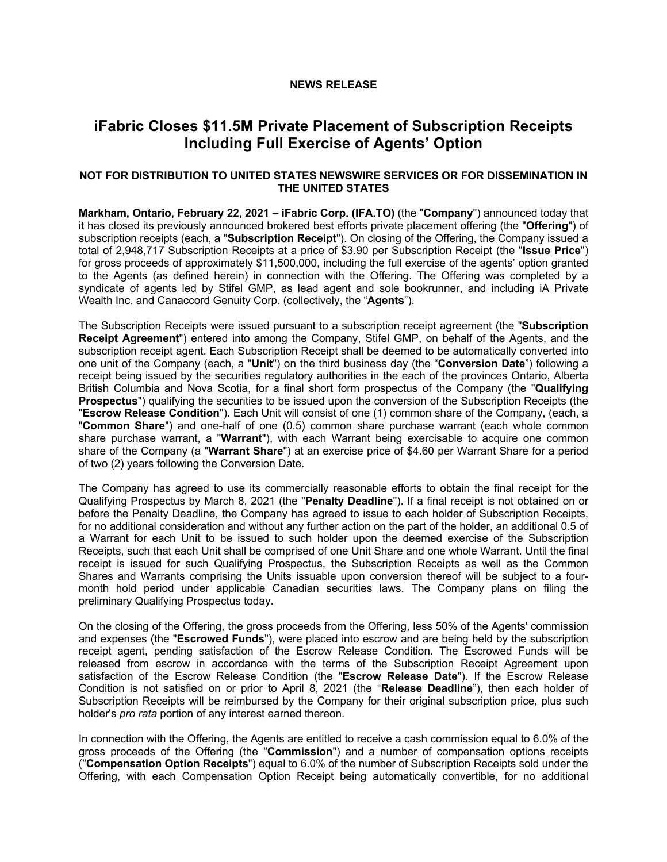## **NEWS RELEASE**

# **iFabric Closes \$11.5M Private Placement of Subscription Receipts Including Full Exercise of Agents' Option**

# **NOT FOR DISTRIBUTION TO UNITED STATES NEWSWIRE SERVICES OR FOR DISSEMINATION IN THE UNITED STATES**

**Markham, Ontario, February 22, 2021 – iFabric Corp. (IFA.TO)** (the "**Company**") announced today that it has closed its previously announced brokered best efforts private placement offering (the "**Offering**") of subscription receipts (each, a "**Subscription Receipt**"). On closing of the Offering, the Company issued a total of 2,948,717 Subscription Receipts at a price of \$3.90 per Subscription Receipt (the "**Issue Price**") for gross proceeds of approximately \$11,500,000, including the full exercise of the agents' option granted to the Agents (as defined herein) in connection with the Offering. The Offering was completed by a syndicate of agents led by Stifel GMP, as lead agent and sole bookrunner, and including iA Private Wealth Inc. and Canaccord Genuity Corp. (collectively, the "**Agents**").

The Subscription Receipts were issued pursuant to a subscription receipt agreement (the "**Subscription Receipt Agreement**") entered into among the Company, Stifel GMP, on behalf of the Agents, and the subscription receipt agent. Each Subscription Receipt shall be deemed to be automatically converted into one unit of the Company (each, a "**Unit**") on the third business day (the "**Conversion Date**") following a receipt being issued by the securities regulatory authorities in the each of the provinces Ontario, Alberta British Columbia and Nova Scotia, for a final short form prospectus of the Company (the "**Qualifying Prospectus**") qualifying the securities to be issued upon the conversion of the Subscription Receipts (the "**Escrow Release Condition**"). Each Unit will consist of one (1) common share of the Company, (each, a "**Common Share**") and one-half of one (0.5) common share purchase warrant (each whole common share purchase warrant, a "**Warrant**"), with each Warrant being exercisable to acquire one common share of the Company (a "**Warrant Share**") at an exercise price of \$4.60 per Warrant Share for a period of two (2) years following the Conversion Date.

The Company has agreed to use its commercially reasonable efforts to obtain the final receipt for the Qualifying Prospectus by March 8, 2021 (the "**Penalty Deadline**"). If a final receipt is not obtained on or before the Penalty Deadline, the Company has agreed to issue to each holder of Subscription Receipts, for no additional consideration and without any further action on the part of the holder, an additional 0.5 of a Warrant for each Unit to be issued to such holder upon the deemed exercise of the Subscription Receipts, such that each Unit shall be comprised of one Unit Share and one whole Warrant. Until the final receipt is issued for such Qualifying Prospectus, the Subscription Receipts as well as the Common Shares and Warrants comprising the Units issuable upon conversion thereof will be subject to a fourmonth hold period under applicable Canadian securities laws. The Company plans on filing the preliminary Qualifying Prospectus today.

On the closing of the Offering, the gross proceeds from the Offering, less 50% of the Agents' commission and expenses (the "**Escrowed Funds**"), were placed into escrow and are being held by the subscription receipt agent, pending satisfaction of the Escrow Release Condition. The Escrowed Funds will be released from escrow in accordance with the terms of the Subscription Receipt Agreement upon satisfaction of the Escrow Release Condition (the "**Escrow Release Date**"). If the Escrow Release Condition is not satisfied on or prior to April 8, 2021 (the "**Release Deadline**"), then each holder of Subscription Receipts will be reimbursed by the Company for their original subscription price, plus such holder's *pro rata* portion of any interest earned thereon.

In connection with the Offering, the Agents are entitled to receive a cash commission equal to 6.0% of the gross proceeds of the Offering (the "**Commission**") and a number of compensation options receipts ("**Compensation Option Receipts**") equal to 6.0% of the number of Subscription Receipts sold under the Offering, with each Compensation Option Receipt being automatically convertible, for no additional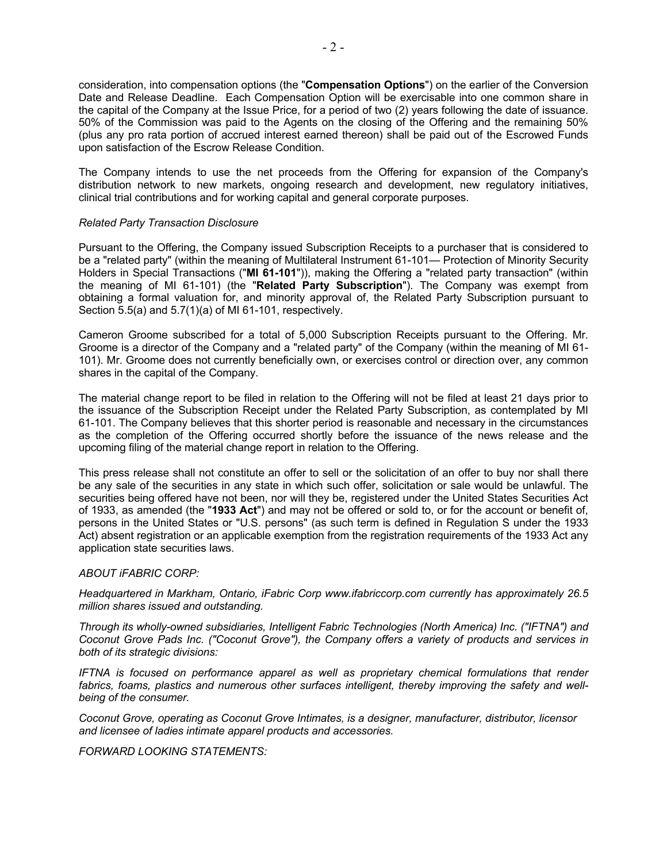consideration, into compensation options (the "**Compensation Options**") on the earlier of the Conversion Date and Release Deadline. Each Compensation Option will be exercisable into one common share in the capital of the Company at the Issue Price, for a period of two (2) years following the date of issuance. 50% of the Commission was paid to the Agents on the closing of the Offering and the remaining 50% (plus any pro rata portion of accrued interest earned thereon) shall be paid out of the Escrowed Funds upon satisfaction of the Escrow Release Condition.

The Company intends to use the net proceeds from the Offering for expansion of the Company's distribution network to new markets, ongoing research and development, new regulatory initiatives, clinical trial contributions and for working capital and general corporate purposes.

#### *Related Party Transaction Disclosure*

Pursuant to the Offering, the Company issued Subscription Receipts to a purchaser that is considered to be a "related party" (within the meaning of Multilateral Instrument 61-101— Protection of Minority Security Holders in Special Transactions ("**MI 61-101**")), making the Offering a "related party transaction" (within the meaning of MI 61-101) (the "**Related Party Subscription**"). The Company was exempt from obtaining a formal valuation for, and minority approval of, the Related Party Subscription pursuant to Section 5.5(a) and 5.7(1)(a) of MI 61-101, respectively.

Cameron Groome subscribed for a total of 5,000 Subscription Receipts pursuant to the Offering. Mr. Groome is a director of the Company and a "related party" of the Company (within the meaning of MI 61- 101). Mr. Groome does not currently beneficially own, or exercises control or direction over, any common shares in the capital of the Company.

The material change report to be filed in relation to the Offering will not be filed at least 21 days prior to the issuance of the Subscription Receipt under the Related Party Subscription, as contemplated by MI 61-101. The Company believes that this shorter period is reasonable and necessary in the circumstances as the completion of the Offering occurred shortly before the issuance of the news release and the upcoming filing of the material change report in relation to the Offering.

This press release shall not constitute an offer to sell or the solicitation of an offer to buy nor shall there be any sale of the securities in any state in which such offer, solicitation or sale would be unlawful. The securities being offered have not been, nor will they be, registered under the United States Securities Act of 1933, as amended (the "**1933 Act**") and may not be offered or sold to, or for the account or benefit of, persons in the United States or "U.S. persons" (as such term is defined in Regulation S under the 1933 Act) absent registration or an applicable exemption from the registration requirements of the 1933 Act any application state securities laws.

# *ABOUT iFABRIC CORP:*

*Headquartered in Markham, Ontario, iFabric Corp www.ifabriccorp.com currently has approximately 26.5 million shares issued and outstanding.*

*Through its wholly-owned subsidiaries, Intelligent Fabric Technologies (North America) Inc. ("IFTNA") and Coconut Grove Pads Inc. ("Coconut Grove"), the Company offers a variety of products and services in both of its strategic divisions:*

*IFTNA is focused on performance apparel as well as proprietary chemical formulations that render fabrics, foams, plastics and numerous other surfaces intelligent, thereby improving the safety and wellbeing of the consumer.* 

*Coconut Grove, operating as Coconut Grove Intimates, is a designer, manufacturer, distributor, licensor and licensee of ladies intimate apparel products and accessories.*

## *FORWARD LOOKING STATEMENTS:*